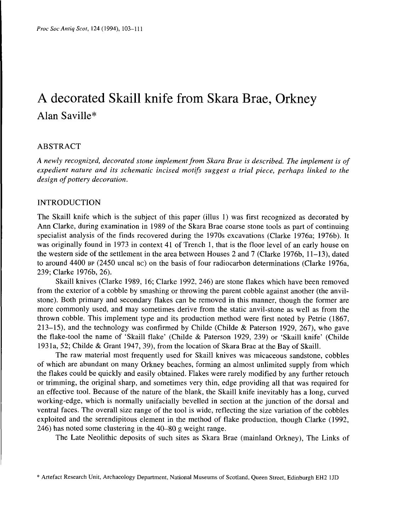# A decorated Skaill knife from Skara Brae, Orkney Alan Saville\*

# ABSTRACT

*A newly recognized, decorated stone implement from Skara Brae is described. The implement is of expedient nature and its schematic incised motifs suggest a trial piece, perhaps linked to the design of pottery decoration.*

## INTRODUCTION

The Skaill knife which is the subject of this paper (illus 1) was first recognized as decorated by Ann Clarke, during examination in 1989 of the Skara Brae coarse stone tools as part of continuing specialist analysis of the finds recovered during the 1970s excavations (Clarke 1976a; 1976b). It was originally found in 1973 in context 41 of Trench 1, that is the floor level of an early house on the western side of the settlement in the area between Houses 2 and 7 (Clarke 1976b, 11-13), dated to around 4400 BP (2450 uncal BC) on the basis of four radiocarbon determinations (Clarke 1976a, 239; Clarke 1976b, 26).

Skaill knives (Clarke 1989, 16; Clarke 1992, 246) are stone flakes which have been removed from the exterior of a cobble by smashing or throwing the parent cobble against another (the anvilstone). Both primary and secondary flakes can be removed in this manner, though the former are more commonly used, and may sometimes derive from the static anvil-stone as well as from the thrown cobble. This implement type and its production method were first noted by Petrie (1867, 213-15), and the technology was confirmed by Childe (Childe & Paterson 1929, 267), who gave the flake-tool the name of 'Skaill flake' (Childe & Paterson 1929, 239) or 'Skaill knife' (Childe 193la, 52; Childe & Grant 1947, 39), from the location of Skara Brae at the Bay of Skaill.

The raw material most frequently used for Skaill knives was micaceous sandstone, cobbles of which are abundant on many Orkney beaches, forming an almost unlimited supply from which the flakes could be quickly and easily obtained. Flakes were rarely modified by any further retouch or trimming, the original sharp, and sometimes very thin, edge providing all that was required for an effective tool. Because of the nature of the blank, the Skaill knife inevitably has a long, curved working-edge, which is normally unifacially bevelled in section at the junction of the dorsal and ventral faces. The overall size range of the tool is wide, reflecting the size variation of the cobbles exploited and the serendipitous element in the method of flake production, though Clarke (1992, 246) has noted some clustering in the 40-80 g weight range.

The Late Neolithic deposits of such sites as Skara Brae (mainland Orkney), The Links of

<sup>\*</sup> Artefact Research Unit, Archaeology Department, National Museums of Scotland, Queen Street, Edinburgh EH2 1JD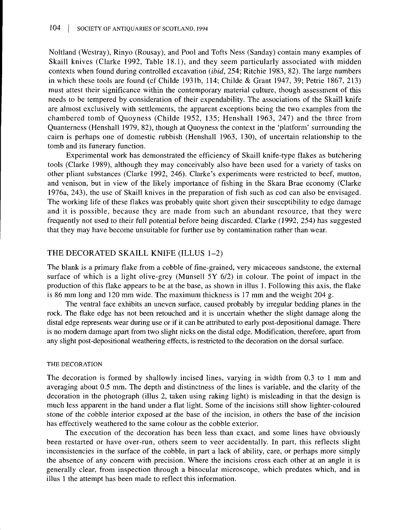Noltland (Westray), Rinyo (Rousay), and Pool and Tofts Ness (Sanday) contain many examples of Skaill knives (Clarke 1992, Table 18.1), and they seem particularly associated with midden contexts when found during controlled excavation *(ibid,* 254; Ritchie 1983, 82). The large numbers in which these tools are found (cf Childe 1931b, 114; Childe & Grant 1947, 39; Petrie 1867, 213) must attest their significance within the contemporary material culture, though assessment of this needs to be tempered by consideration of their expendability. The associations of the Skaill knife are almost exclusively with settlements, the apparent exceptions being the two examples from the chambered tomb of Quoyness (Childe 1952, 135; Henshall 1963, 247) and the three from Quanterness (Henshall 1979, 82), though at Quoyness the context in the 'platform' surrounding the cairn is perhaps one of domestic rubbish (Henshall 1963, 130), of uncertain relationship to the tomb and its funerary function.

Experimental work has demonstrated the efficiency of Skaill knife-type flakes as butchering tools (Clarke 1989), although they may conceivably also have been used for a variety of tasks on other pliant substances (Clarke 1992, 246). Clarke's experiments were restricted to beef, mutton, and venison, but in view of the likely importance of fishing in the Skara Brae economy (Clarke 1976a, 243), the use of Skaill knives in the preparation of fish such as cod can also be envisaged. The working life of these flakes was probably quite short given their susceptibility to edge damage and it is possible, because they are made from such an abundant resource, that they were frequently not used to their full potential before being discarded. Clarke (1992, 254) has suggested that they may have become unsuitable for further use by contamination rather than wear.

## THE DECORATED SKAILL KNIFE (ILLUS 1-2)

The blank is a primary flake from a cobble of fine-grained, very micaceous sandstone, the external surface of which is a light olive-grey (Munsell 5Y 6/2) in colour. The point of impact in the production of this flake appears to be at the base, as shown in illus 1. Following this axis, the flake is 86 mm long and 120 mm wide. The maximum thickness is 17 mm and the weight 204 g.

The ventral face exhibits an uneven surface, caused probably by irregular bedding planes in the rock. The flake edge has not been retouched and it is uncertain whether the slight damage along the distal edge represents wear during use or if it can be attributed to early post-depositional damage. There is no modern damage apart from two slight nicks on the distal edge. Modification, therefore, apart from any slight post-depositional weathering effects, is restricted to the decoration on the dorsal surface.

#### THE DECORATION

The decoration is formed by shallowly incised lines, varying in width from 0.3 to 1 mm and averaging about 0.5 mm. The depth and distinctness of the lines is variable, and the clarity of the decoration in the photograph (illus 2, taken using raking light) is misleading in that the design is much less apparent in the hand under a flat light. Some of the incisions still show lighter-coloured stone of the cobble interior exposed at the base of the incision, in others the base of the incision has effectively weathered to the same colour as the cobble exterior.

The execution of the decoration has been less than exact, and some lines have obviously been restarted or have over-run, others seem to veer accidentally. In part, this reflects slight inconsistencies in the surface of the cobble, in part a lack of ability, care, or perhaps more simply the absence of any concern with precision. Where the incisions cross each other at an angle it is generally clear, from inspection through a binocular microscope, which predates which, and in illus 1 the attempt has been made to reflect this information.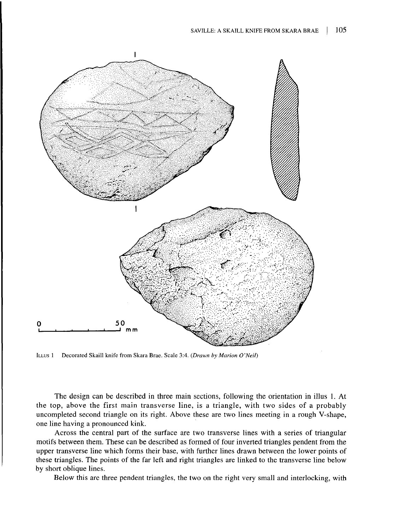

ILLUS 1 Decorated Skaill knife from Skara Brae. Scale 3:4. *(Drawn by Marion O'Neil)*

The design can be described in three main sections, following the orientation in illus 1. At the top, above the first main transverse line, is a triangle, with two sides of a probably uncompleted second triangle on its right. Above these are two lines meeting in a rough V-shape, one line having a pronounced kink.

Across the central part of the surface are two transverse lines with a series of triangular motifs between them. These can be described as formed of four inverted triangles pendent from the upper transverse line which forms their base, with further lines drawn between the lower points of these triangles. The points of the far left and right triangles are linked to the transverse line below by short oblique lines.

Below this are three pendent triangles, the two on the right very small and interlocking, with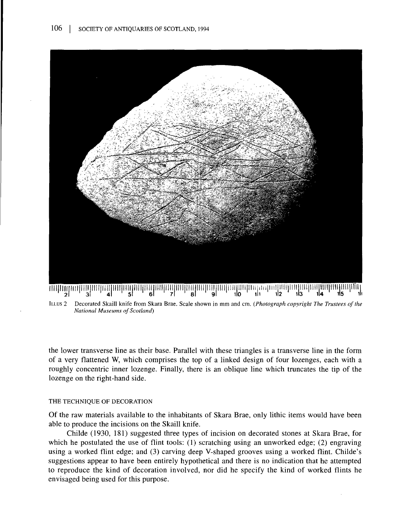

Decorated Skaill knife from Skara Brae. Scale shown in mm and cm. *(Photograph copyright The Trustees of the* ILLUS<sub>2</sub> *National Museums of Scotland)*

the lower transverse line as their base. Parallel with these triangles is a transverse line in the form of a very flattened W, which comprises the top of a linked design of four lozenges, each with a roughly concentric inner lozenge. Finally, there is an oblique line which truncates the tip of the lozenge on the right-hand side.

#### THE TECHNIQUE OF DECORATION

Of the raw materials available to the inhabitants of Skara Brae, only lithic items would have been able to produce the incisions on the Skaill knife.

Childe (1930, 181) suggested three types of incision on decorated stones at Skara Brae, for which he postulated the use of flint tools: (1) scratching using an unworked edge; (2) engraving using a worked flint edge; and (3) carving deep V-shaped grooves using a worked flint. Childe's suggestions appear to have been entirely hypothetical and there is no indication that he attempted to reproduce the kind of decoration involved, nor did he specify the kind of worked flints he envisaged being used for this purpose.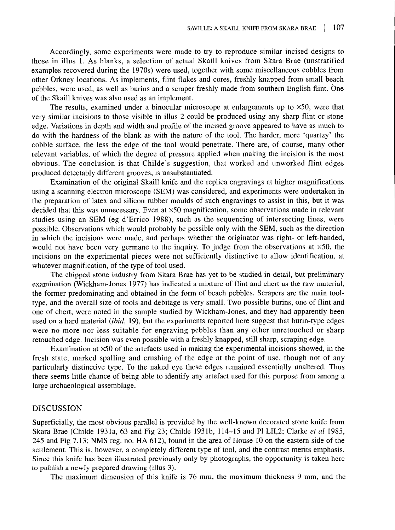Accordingly, some experiments were made to try to reproduce similar incised designs to those in illus 1. As blanks, a selection of actual Skaill knives from Skara Brae (unstratified examples recovered during the 1970s) were used, together with some miscellaneous cobbles from other Orkney locations. As implements, flint flakes and cores, freshly knapped from small beach pebbles, were used, as well as burins and a scraper freshly made from southern English flint. One of the Skaill knives was also used as an implement.

The results, examined under a binocular microscope at enlargements up to  $\times$ 50, were that very similar incisions to those visible in illus 2 could be produced using any sharp flint or stone edge. Variations in depth and width and profile of the incised groove appeared to have as much to do with the hardness of the blank as with the nature of the tool. The harder, more 'quartzy' the cobble surface, the less the edge of the tool would penetrate. There are, of course, many other relevant variables, of which the degree of pressure applied when making the incision is the most obvious. The conclusion is that Childe's suggestion, that worked and unworked flint edges produced detectably different grooves, is unsubstantiated.

Examination of the original Skaill knife and the replica engravings at higher magnifications using a scanning electron microscope (SEM) was considered, and experiments were undertaken in the preparation of latex and silicon rubber moulds of such engravings to assist in this, but it was decided that this was unnecessary. Even at x50 magnification, some observations made in relevant studies using an SEM (eg d'Errico 1988), such as the sequencing of intersecting lines, were possible. Observations which would probably be possible only with the SEM, such as the direction in which the incisions were made, and perhaps whether the originator was right- or left-handed, would not have been very germane to the inquiry. To judge from the observations at  $\times$ 50, the incisions on the experimental pieces were not sufficiently distinctive to allow identification, at whatever magnification, of the type of tool used.

The chipped stone industry from Skara Brae has yet to be studied in detail, but preliminary examination (Wickham-Jones 1977) has indicated a mixture of flint and chert as the raw material, the former predominating and obtained in the form of beach pebbles. Scrapers are the main tooltype, and the overall size of tools and debitage is very small. Two possible burins, one of flint and one of chert, were noted in the sample studied by Wickham-Jones, and they had apparently been used on a hard material *(ibid,* 19), but the experiments reported here suggest that burin-type edges were no more nor less suitable for engraving pebbles than any other unretouched or sharp retouched edge. Incision was even possible with a freshly knapped, still sharp, scraping edge.

Examination at x50 of the artefacts used in making the experimental incisions showed, in the fresh state, marked spalling and crushing of the edge at the point of use, though not of any particularly distinctive type. To the naked eye these edges remained essentially unaltered. Thus there seems little chance of being able to identify any artefact used for this purpose from among a large archaeological assemblage.

## DISCUSSION

Superficially, the most obvious parallel is provided by the well-known decorated stone knife from Skara Brae (Childe 1931a, 63 and Fig 23; Childe 1931b, 114-15 and PI LII,2; Clarke *et al* 1985, 245 and Fig 7.13; NMS reg. no. HA 612), found in the area of House 10 on the eastern side of the settlement. This is, however, a completely different type of tool, and the contrast merits emphasis. Since this knife has been illustrated previously only by photographs, the opportunity is taken here to publish a newly prepared drawing (illus 3).

The maximum dimension of this knife is 76 mm, the maximum thickness 9 mm, and the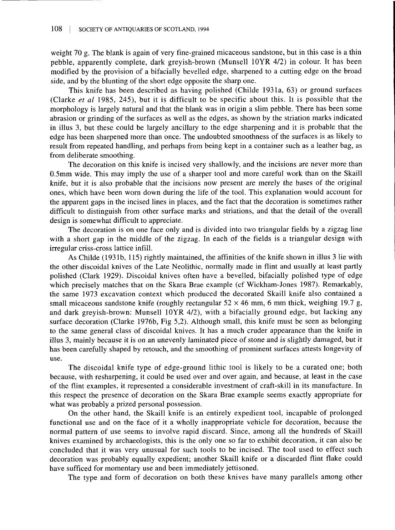weight 70 g. The blank is again of very fine-grained micaceous sandstone, but in this case is a thin pebble, apparently complete, dark greyish-brown (Munsell 10YR 4/2) in colour. It has been modified by the provision of a bifacially bevelled edge, sharpened to a cutting edge on the broad side, and by the blunting of the short edge opposite the sharp one.

This knife has been described as having polished (Childe 193la, 63) or ground surfaces (Clarke *et al* 1985, 245), but it is difficult to be specific about this. It is possible that the morphology is largely natural and that the blank was in origin a slim pebble. There has been some abrasion or grinding of the surfaces as well as the edges, as shown by the striation marks indicated in illus 3, but these could be largely ancillary to the edge sharpening and it is probable that the edge has been sharpened more than once. The undoubted smoothness of the surfaces is as likely to result from repeated handling, and perhaps from being kept in a container such as a leather bag, as from deliberate smoothing.

The decoration on this knife is incised very shallowly, and the incisions are never more than 0.5mm wide. This may imply the use of a sharper tool and more careful work than on the Skaill knife, but it is also probable that the incisions now present are merely the bases of the original ones, which have been worn down during the life of the tool. This explanation would account for the apparent gaps in the incised lines in places, and the fact that the decoration is sometimes rather difficult to distinguish from other surface marks and striations, and that the detail of the overall design is somewhat difficult to appreciate.

The decoration is on one face only and is divided into two triangular fields by a zigzag line with a short gap in the middle of the zigzag. In each of the fields is a triangular design with irregular criss-cross lattice infill.

As Childe (193Ib, 115) rightly maintained, the affinities of the knife shown in illus 3 lie with the other discoidal knives of the Late Neolithic, normally made in flint and usually at least partly polished (Clark 1929). Discoidal knives often have a bevelled, bifacially polished type of edge which precisely matches that on the Skara Brae example (cf Wickham-Jones 1987). Remarkably, the same 1973 excavation context which produced the decorated Skaill knife also contained a small micaceous sandstone knife (roughly rectangular  $52 \times 46$  mm, 6 mm thick, weighing 19.7 g, and dark greyish-brown: Munsell 10YR 4/2), with a bifacially ground edge, but lacking any surface decoration (Clarke 1976b, Fig 5,2). Although small, this knife must be seen as belonging to the same general class of discoidal knives. It has a much cruder appearance than the knife in illus 3, mainly because it is on an unevenly laminated piece of stone and is slightly damaged, but it has been carefully shaped by retouch, and the smoothing of prominent surfaces attests longevity of use.

The discoidal knife type of edge-ground lithic tool is likely to be a curated one; both because, with resharpening, it could be used over and over again, and because, at least in the case of the flint examples, it represented a considerable investment of craft-skill in its manufacture. In this respect the presence of decoration on the Skara Brae example seems exactly appropriate for what was probably a prized personal possession.

On the other hand, the Skaill knife is an entirely expedient tool, incapable of prolonged functional use and on the face of it a wholly inappropriate vehicle for decoration, because the normal pattern of use seems to involve rapid discard. Since, among all the hundreds of Skaill knives examined by archaeologists, this is the only one so far to exhibit decoration, it can also be concluded that it was very unusual for such tools to be incised. The tool used to effect such decoration was probably equally expedient; another Skaill knife or a discarded flint flake could have sufficed for momentary use and been immediately jettisoned.

The type and form of decoration on both these knives have many parallels among other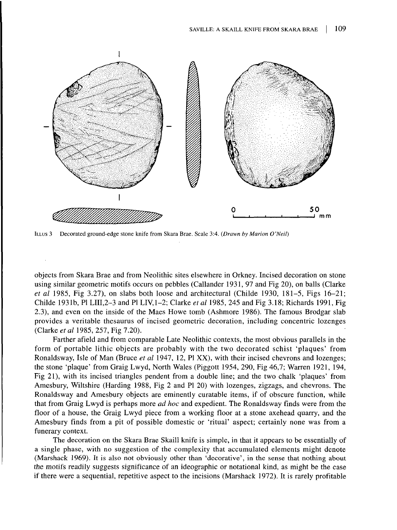

ILLUS 3 Decorated ground-edge stone knife from Skara Brae. Scale 3:4. *(Drawn by Marion O'Neil)*

objects from Skara Brae and from Neolithic sites elsewhere in Orkney. Incised decoration on stone using similar geometric motifs occurs on pebbles (Callander 1931, 97 and Fig 20), on balls (Clarke *et al* 1985, Fig 3.27), on slabs both loose and architectural (Childe 1930, 181-5, Figs 16-21; Childe 1931b, PI LIII.2-3 and PI LIV, 1-2; Clarke *et al* 1985, 245 and Fig 3.18; Richards 1991, Fig 2.3), and even on the inside of the Macs Howe tomb (Ashmore 1986). The famous Brodgar slab provides a veritable thesaurus of incised geometric decoration, including concentric lozenges (Clarke *et al* 1985, 257, Fig 7.20).

Farther afield and from comparable Late Neolithic contexts, the most obvious parallels in the form of portable lithic objects are probably with the two decorated schist 'plaques' from Ronaldsway, Isle of Man (Brace *et al* 1947, 12, PI XX), with their incised chevrons and lozenges; the stone 'plaque' from Graig Lwyd, North Wales (Piggott 1954, 290, Fig 46,7; Warren 1921, 194, Fig 21), with its incised triangles pendent from a double line; and the two chalk 'plaques' from Amesbury, Wiltshire (Harding 1988, Fig 2 and PI 20) with lozenges, zigzags, and chevrons. The Ronaldsway and Amesbury objects are eminently curatable items, if of obscure function, while that from Graig Lwyd is perhaps more *ad hoc* and expedient. The Ronaldsway finds were from the floor of a house, the Graig Lwyd piece from a working floor at a stone axehead quarry, and the Amesbury finds from a pit of possible domestic or 'ritual' aspect; certainly none was from a funerary context.

The decoration on the Skara Brae Skaill knife is simple, in that it appears to be essentially of a single phase, with no suggestion of the complexity that accumulated elements might denote (Marshack 1969). It is also not obviously other than 'decorative', in the sense that nothing about the motifs readily suggests significance of an ideographic or notational kind, as might be the case if there were a sequential, repetitive aspect to the incisions (Marshack 1972). It is rarely profitable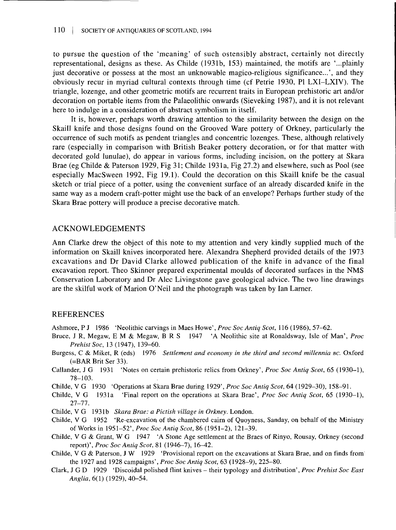to pursue the question of the 'meaning' of such ostensibly abstract, certainly not directly representational, designs as these. As Childe (1931b, 153) maintained, the motifs are '...plainly just decorative or possess at the most an unknowable magico-religious significance...', and they obviously recur in myriad cultural contexts through time (cf Petrie 1930, PI LXI-LXIV). The triangle, lozenge, and other geometric motifs are recurrent traits in European prehistoric art and/or decoration on portable items from the Palaeolithic onwards (Sieveking 1987), and it is not relevant here to indulge in a consideration of abstract symbolism in itself.

It is, however, perhaps worth drawing attention to the similarity between the design on the Skaill knife and those designs found on the Grooved Ware pottery of Orkney, particularly the occurrence of such motifs as pendent triangles and concentric lozenges. These, although relatively rare (especially in comparison with British Beaker pottery decoration, or for that matter with decorated gold lunulae), do appear in various forms, including incision, on the pottery at Skara Brae (eg Childe & Paterson 1929, Fig 31; Childe 1931a, Fig 27.2) and elsewhere, such as Pool (see especially MacSween 1992, Fig 19.1). Could the decoration on this Skaill knife be the casual sketch or trial piece of a potter, using the convenient surface of an already discarded knife in the same way as a modern craft-potter might use the back of an envelope? Perhaps further study of the Skara Brae pottery will produce a precise decorative match.

## ACKNOWLEDGEMENTS

Ann Clarke drew the object of this note to my attention and very kindly supplied much of the information on Skaill knives incorporated here. Alexandra Shepherd provided details of the 1973 excavations and Dr David Clarke allowed publication of the knife in advance of the final excavation report. Theo Skinner prepared experimental moulds of decorated surfaces in the NMS Conservation Laboratory and Dr Alec Livingstone gave geological advice. The two line drawings are the skilful work of Marion O'Neil and the photograph was taken by lan Larner.

### REFERENCES

- Ashmore, P J 1986 'Neolithic carvings in Macs Howe', *Proc Soc Antiq Scot,* 116 (1986), 57-62.
- Bruce, J R, Megaw, E M & Megaw, B R S 1947 'A Neolithic site at Ronaldsway, Isle of Man', *Proc Prehist Soc, 13 (1947), 139-60.*
- Burgess, C & Miket, R (eds) 1976 *Settlement and economy in the third and second millennia BC.* Oxford (=BAR Brit Ser 33).
- Callander, J G 1931 'Notes on certain prehistoric relics from Orkney', *Proc Soc Antiq Scot,* 65 (1930-1), 78-103.
- Childe, V G 1930 'Operations at Skara Brae during 1929', *Proc Soc Antiq Scot,* 64 (1929-30), 158-91.
- Childe, V G 1931a 'Final report on the operations at Skara Brae', *Proc Soc Antiq Scot,* 65 (1930-1), 27-77.
- Childe, V G 1931b *Skara Brae: a Pictish village in Orkney.* London.
- Childe, V G 1952 'Re-excavation of the chambered cairn of Quoyness, Sanday, on behalf of the Ministry of Works in 1951-52', *Proc Soc Antiq Scot,* 86 (1951-2), 121-39.
- Childe, V G & Grant, W G 1947 'A Stone Age settlement at the Braes of Rinyo, Rousay, Orkney (second report)', *Proc Soc Antiq Scot,* 81 (1946-7), 16-42.
- Childe, V G & Paterson, J W 1929 'Provisional report on the excavations at Skara Brae, and on finds from the 1927 and 1928 campaigns', *Proc Soc Antiq Scot,* 63 (1928-9), 225-80.
- Clark, J G D 1929 'Discoidal polished flint knives their typology and distribution', *Proc Prehist Soc East Anglia,* 6(1) (1929), 40-54.